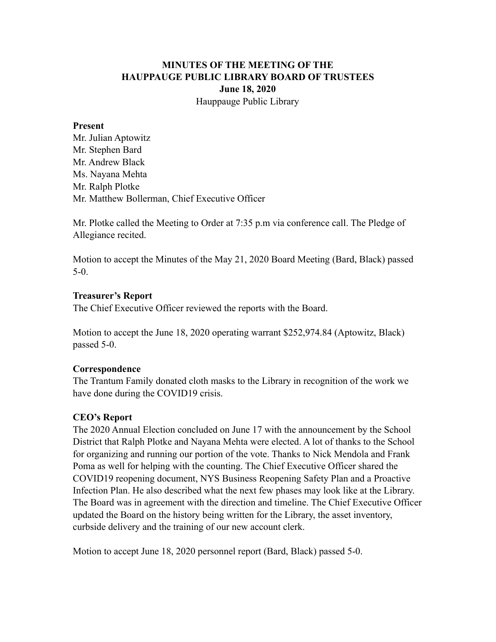# **MINUTES OF THE MEETING OF THE HAUPPAUGE PUBLIC LIBRARY BOARD OF TRUSTEES June 18, 2020** Hauppauge Public Library

#### **Present**

Mr. Julian Aptowitz Mr. Stephen Bard Mr. Andrew Black Ms. Nayana Mehta Mr. Ralph Plotke Mr. Matthew Bollerman, Chief Executive Officer

Mr. Plotke called the Meeting to Order at 7:35 p.m via conference call. The Pledge of Allegiance recited.

Motion to accept the Minutes of the May 21, 2020 Board Meeting (Bard, Black) passed 5-0.

### **Treasurer's Report**

The Chief Executive Officer reviewed the reports with the Board.

Motion to accept the June 18, 2020 operating warrant \$252,974.84 (Aptowitz, Black) passed 5-0.

### **Correspondence**

The Trantum Family donated cloth masks to the Library in recognition of the work we have done during the COVID19 crisis.

### **CEO's Report**

The 2020 Annual Election concluded on June 17 with the announcement by the School District that Ralph Plotke and Nayana Mehta were elected. A lot of thanks to the School for organizing and running our portion of the vote. Thanks to Nick Mendola and Frank Poma as well for helping with the counting. The Chief Executive Officer shared the COVID19 reopening document, NYS Business Reopening Safety Plan and a Proactive Infection Plan. He also described what the next few phases may look like at the Library. The Board was in agreement with the direction and timeline. The Chief Executive Officer updated the Board on the history being written for the Library, the asset inventory, curbside delivery and the training of our new account clerk.

Motion to accept June 18, 2020 personnel report (Bard, Black) passed 5-0.